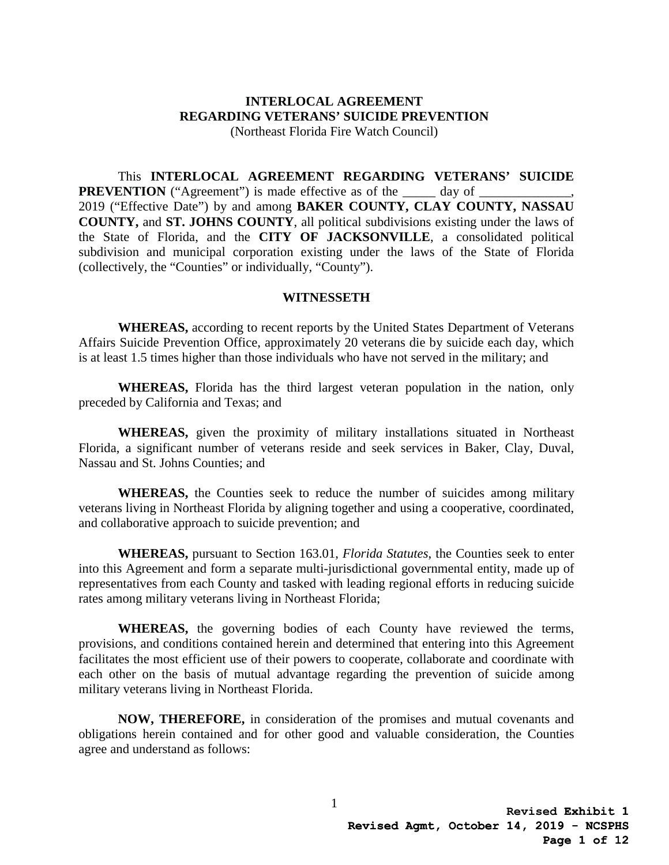# **INTERLOCAL AGREEMENT REGARDING VETERANS' SUICIDE PREVENTION**

(Northeast Florida Fire Watch Council)

 2019 ("Effective Date") by and among **BAKER COUNTY, CLAY COUNTY, NASSAU**  This **INTERLOCAL AGREEMENT REGARDING VETERANS' SUICIDE PREVENTION** ("Agreement") is made effective as of the \_\_\_\_\_\_\_\_ day of \_\_\_\_\_\_\_\_\_ **COUNTY,** and **ST. JOHNS COUNTY**, all political subdivisions existing under the laws of the State of Florida, and the **CITY OF JACKSONVILLE**, a consolidated political subdivision and municipal corporation existing under the laws of the State of Florida (collectively, the "Counties" or individually, "County").

#### **WITNESSETH**

**WHEREAS,** according to recent reports by the United States Department of Veterans Affairs Suicide Prevention Office, approximately 20 veterans die by suicide each day, which is at least 1.5 times higher than those individuals who have not served in the military; and

**WHEREAS,** Florida has the third largest veteran population in the nation, only preceded by California and Texas; and

**WHEREAS,** given the proximity of military installations situated in Northeast Florida, a significant number of veterans reside and seek services in Baker, Clay, Duval, Nassau and St. Johns Counties; and

**WHEREAS,** the Counties seek to reduce the number of suicides among military veterans living in Northeast Florida by aligning together and using a cooperative, coordinated, and collaborative approach to suicide prevention; and

**WHEREAS,** pursuant to Section 163.01, *Florida Statutes*, the Counties seek to enter into this Agreement and form a separate multi-jurisdictional governmental entity, made up of representatives from each County and tasked with leading regional efforts in reducing suicide rates among military veterans living in Northeast Florida;

**WHEREAS,** the governing bodies of each County have reviewed the terms, provisions, and conditions contained herein and determined that entering into this Agreement facilitates the most efficient use of their powers to cooperate, collaborate and coordinate with each other on the basis of mutual advantage regarding the prevention of suicide among military veterans living in Northeast Florida.

**NOW, THEREFORE,** in consideration of the promises and mutual covenants and obligations herein contained and for other good and valuable consideration, the Counties agree and understand as follows: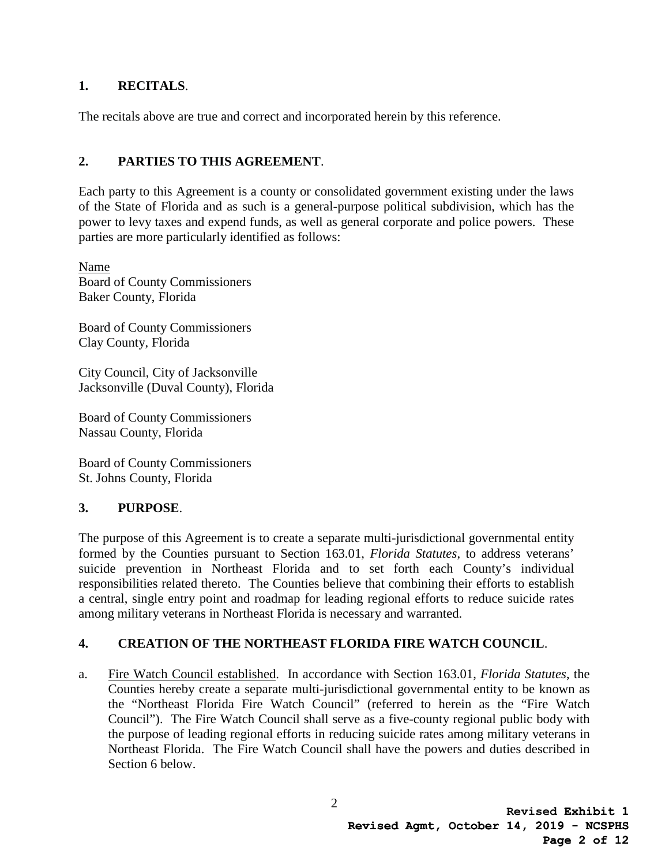#### **1. RECITALS**.

The recitals above are true and correct and incorporated herein by this reference.

## **2. PARTIES TO THIS AGREEMENT**.

Each party to this Agreement is a county or consolidated government existing under the laws of the State of Florida and as such is a general-purpose political subdivision, which has the power to levy taxes and expend funds, as well as general corporate and police powers. These parties are more particularly identified as follows:

Name Board of County Commissioners Baker County, Florida

Board of County Commissioners Clay County, Florida

City Council, City of Jacksonville Jacksonville (Duval County), Florida

Board of County Commissioners Nassau County, Florida

Board of County Commissioners St. Johns County, Florida

### **3. PURPOSE**.

The purpose of this Agreement is to create a separate multi-jurisdictional governmental entity formed by the Counties pursuant to Section 163.01, *Florida Statutes*, to address veterans' suicide prevention in Northeast Florida and to set forth each County's individual responsibilities related thereto. The Counties believe that combining their efforts to establish a central, single entry point and roadmap for leading regional efforts to reduce suicide rates among military veterans in Northeast Florida is necessary and warranted.

### **4. CREATION OF THE NORTHEAST FLORIDA FIRE WATCH COUNCIL**.

a. Fire Watch Council established. In accordance with Section 163.01, *Florida Statutes*, the Counties hereby create a separate multi-jurisdictional governmental entity to be known as the "Northeast Florida Fire Watch Council" (referred to herein as the "Fire Watch Council"). The Fire Watch Council shall serve as a five-county regional public body with the purpose of leading regional efforts in reducing suicide rates among military veterans in Northeast Florida. The Fire Watch Council shall have the powers and duties described in Section 6 below.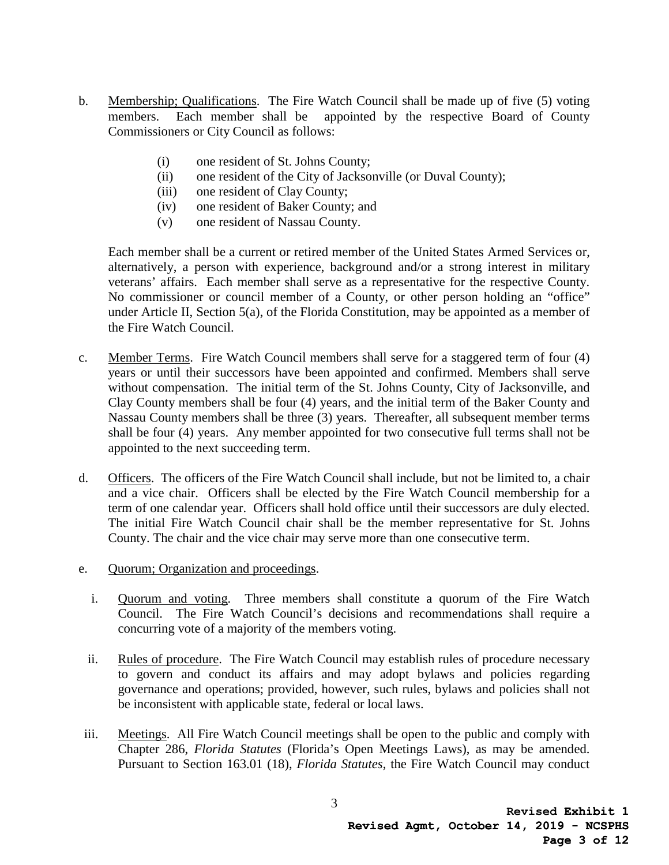- b. Membership; Qualifications. The Fire Watch Council shall be made up of five (5) voting members. Each member shall be appointed by the respective Board of County Commissioners or City Council as follows:
	- (i) one resident of St. Johns County;
	- (ii) one resident of the City of Jacksonville (or Duval County);
	- (iii) one resident of Clay County;
	- (iv) one resident of Baker County; and
	- (v) one resident of Nassau County.

Each member shall be a current or retired member of the United States Armed Services or, alternatively, a person with experience, background and/or a strong interest in military veterans' affairs. Each member shall serve as a representative for the respective County. No commissioner or council member of a County, or other person holding an "office" under Article II, Section 5(a), of the Florida Constitution, may be appointed as a member of the Fire Watch Council.

- Clay County members shall be four (4) years, and the initial term of the Baker County and c. Member Terms. Fire Watch Council members shall serve for a staggered term of four (4) years or until their successors have been appointed and confirmed. Members shall serve without compensation. The initial term of the St. Johns County, City of Jacksonville, and Nassau County members shall be three (3) years. Thereafter, all subsequent member terms shall be four (4) years. Any member appointed for two consecutive full terms shall not be appointed to the next succeeding term.
- d. Officers. The officers of the Fire Watch Council shall include, but not be limited to, a chair and a vice chair. Officers shall be elected by the Fire Watch Council membership for a term of one calendar year. Officers shall hold office until their successors are duly elected. The initial Fire Watch Council chair shall be the member representative for St. Johns County. The chair and the vice chair may serve more than one consecutive term.
- e. Quorum; Organization and proceedings.
	- i. Quorum and voting. Three members shall constitute a quorum of the Fire Watch Council. The Fire Watch Council's decisions and recommendations shall require a concurring vote of a majority of the members voting.
	- ii. Rules of procedure. The Fire Watch Council may establish rules of procedure necessary to govern and conduct its affairs and may adopt bylaws and policies regarding governance and operations; provided, however, such rules, bylaws and policies shall not be inconsistent with applicable state, federal or local laws.
- Pursuant to Section 163.01 (18), *Florida Statutes*, the Fire Watch Council may conduct iii. Meetings. All Fire Watch Council meetings shall be open to the public and comply with Chapter 286, *Florida Statutes* (Florida's Open Meetings Laws), as may be amended.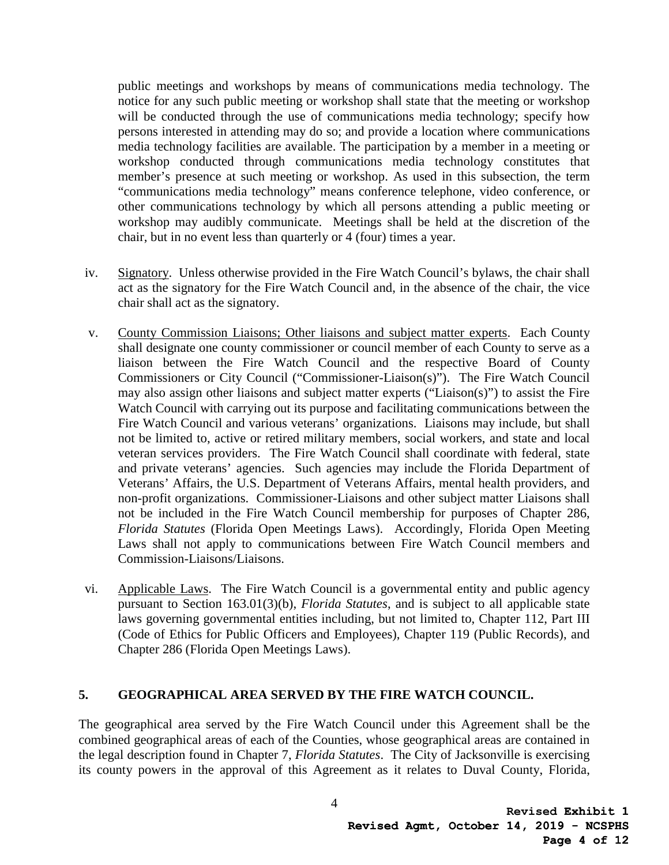public meetings and workshops by means of communications media technology. The notice for any such public meeting or workshop shall state that the meeting or workshop will be conducted through the use of communications media technology; specify how persons interested in attending may do so; and provide a location where communications media technology facilities are available. The participation by a member in a meeting or workshop conducted through communications media technology constitutes that member's presence at such meeting or workshop. As used in this subsection, the term "communications media technology" means conference telephone, video conference, or other communications technology by which all persons attending a public meeting or workshop may audibly communicate. Meetings shall be held at the discretion of the chair, but in no event less than quarterly or 4 (four) times a year.

- iv. Signatory. Unless otherwise provided in the Fire Watch Council's bylaws, the chair shall act as the signatory for the Fire Watch Council and, in the absence of the chair, the vice chair shall act as the signatory.
- v. County Commission Liaisons; Other liaisons and subject matter experts. Each County shall designate one county commissioner or council member of each County to serve as a liaison between the Fire Watch Council and the respective Board of County Commissioners or City Council ("Commissioner-Liaison(s)"). The Fire Watch Council may also assign other liaisons and subject matter experts ("Liaison(s)") to assist the Fire Watch Council with carrying out its purpose and facilitating communications between the Fire Watch Council and various veterans' organizations. Liaisons may include, but shall not be limited to, active or retired military members, social workers, and state and local veteran services providers. The Fire Watch Council shall coordinate with federal, state and private veterans' agencies. Such agencies may include the Florida Department of Veterans' Affairs, the U.S. Department of Veterans Affairs, mental health providers, and non-profit organizations. Commissioner-Liaisons and other subject matter Liaisons shall not be included in the Fire Watch Council membership for purposes of Chapter 286, *Florida Statutes* (Florida Open Meetings Laws). Accordingly, Florida Open Meeting Laws shall not apply to communications between Fire Watch Council members and Commission-Liaisons/Liaisons.
- vi. Applicable Laws. The Fire Watch Council is a governmental entity and public agency pursuant to Section 163.01(3)(b), *Florida Statutes*, and is subject to all applicable state laws governing governmental entities including, but not limited to, Chapter 112, Part III (Code of Ethics for Public Officers and Employees), Chapter 119 (Public Records), and Chapter 286 (Florida Open Meetings Laws).

#### **5. GEOGRAPHICAL AREA SERVED BY THE FIRE WATCH COUNCIL.**

The geographical area served by the Fire Watch Council under this Agreement shall be the combined geographical areas of each of the Counties, whose geographical areas are contained in the legal description found in Chapter 7, *Florida Statutes*. The City of Jacksonville is exercising its county powers in the approval of this Agreement as it relates to Duval County, Florida,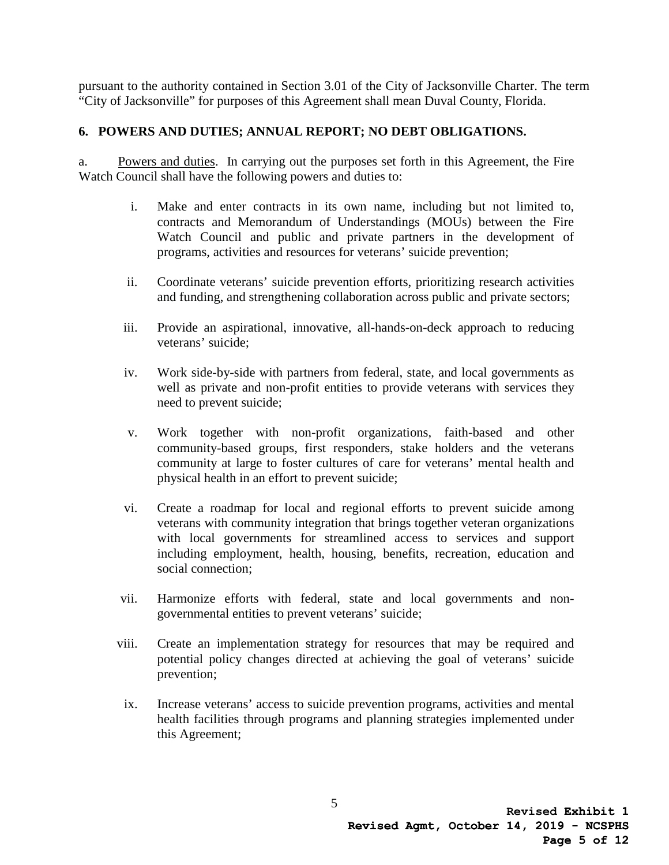pursuant to the authority contained in Section 3.01 of the City of Jacksonville Charter. The term "City of Jacksonville" for purposes of this Agreement shall mean Duval County, Florida.

#### **6. POWERS AND DUTIES; ANNUAL REPORT; NO DEBT OBLIGATIONS.**

a. Powers and duties. In carrying out the purposes set forth in this Agreement, the Fire Watch Council shall have the following powers and duties to:

- i. Make and enter contracts in its own name, including but not limited to, contracts and Memorandum of Understandings (MOUs) between the Fire Watch Council and public and private partners in the development of programs, activities and resources for veterans' suicide prevention;
- ii. Coordinate veterans' suicide prevention efforts, prioritizing research activities and funding, and strengthening collaboration across public and private sectors;
- iii. Provide an aspirational, innovative, all-hands-on-deck approach to reducing veterans' suicide;
- iv. Work side-by-side with partners from federal, state, and local governments as well as private and non-profit entities to provide veterans with services they need to prevent suicide;
- community at large to foster cultures of care for veterans' mental health and v. Work together with non-profit organizations, faith-based and other community-based groups, first responders, stake holders and the veterans physical health in an effort to prevent suicide;
- vi. Create a roadmap for local and regional efforts to prevent suicide among veterans with community integration that brings together veteran organizations with local governments for streamlined access to services and support including employment, health, housing, benefits, recreation, education and social connection;
- vii. Harmonize efforts with federal, state and local governments and nongovernmental entities to prevent veterans' suicide;
- viii. Create an implementation strategy for resources that may be required and potential policy changes directed at achieving the goal of veterans' suicide prevention;
- ix. Increase veterans' access to suicide prevention programs, activities and mental health facilities through programs and planning strategies implemented under this Agreement;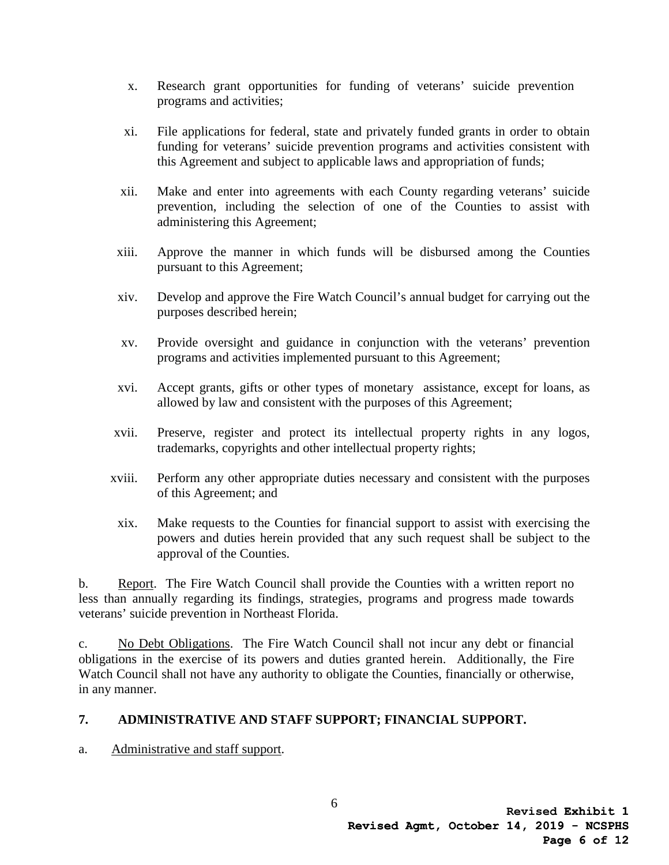- x. Research grant opportunities for funding of veterans' suicide prevention programs and activities;
- xi. File applications for federal, state and privately funded grants in order to obtain funding for veterans' suicide prevention programs and activities consistent with this Agreement and subject to applicable laws and appropriation of funds;
- xii. Make and enter into agreements with each County regarding veterans' suicide prevention, including the selection of one of the Counties to assist with administering this Agreement;
- xiii. Approve the manner in which funds will be disbursed among the Counties pursuant to this Agreement;
- xiv. Develop and approve the Fire Watch Council's annual budget for carrying out the purposes described herein;
- xv. Provide oversight and guidance in conjunction with the veterans' prevention programs and activities implemented pursuant to this Agreement;
- xvi. Accept grants, gifts or other types of monetary assistance, except for loans, as allowed by law and consistent with the purposes of this Agreement;
- xvii. Preserve, register and protect its intellectual property rights in any logos, trademarks, copyrights and other intellectual property rights;
- xviii. Perform any other appropriate duties necessary and consistent with the purposes of this Agreement; and
- xix. Make requests to the Counties for financial support to assist with exercising the powers and duties herein provided that any such request shall be subject to the approval of the Counties.

b. Report. The Fire Watch Council shall provide the Counties with a written report no less than annually regarding its findings, strategies, programs and progress made towards veterans' suicide prevention in Northeast Florida.

 obligations in the exercise of its powers and duties granted herein. Additionally, the Fire c. No Debt Obligations. The Fire Watch Council shall not incur any debt or financial Watch Council shall not have any authority to obligate the Counties, financially or otherwise, in any manner.

### **7. ADMINISTRATIVE AND STAFF SUPPORT; FINANCIAL SUPPORT.**

a. Administrative and staff support.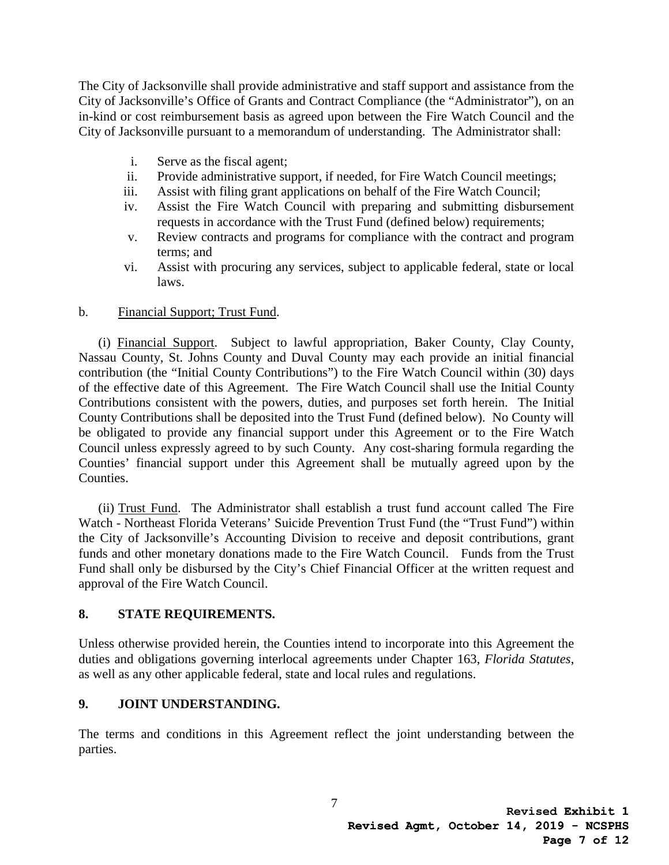The City of Jacksonville shall provide administrative and staff support and assistance from the City of Jacksonville's Office of Grants and Contract Compliance (the "Administrator"), on an in-kind or cost reimbursement basis as agreed upon between the Fire Watch Council and the City of Jacksonville pursuant to a memorandum of understanding. The Administrator shall:

- i. Serve as the fiscal agent;
- ii. Provide administrative support, if needed, for Fire Watch Council meetings;
- iii. Assist with filing grant applications on behalf of the Fire Watch Council;
- iv. Assist the Fire Watch Council with preparing and submitting disbursement requests in accordance with the Trust Fund (defined below) requirements;
- v. Review contracts and programs for compliance with the contract and program terms; and
- vi. Assist with procuring any services, subject to applicable federal, state or local laws.

#### b. Financial Support; Trust Fund.

(i) Financial Support. Subject to lawful appropriation, Baker County, Clay County, Nassau County, St. Johns County and Duval County may each provide an initial financial contribution (the "Initial County Contributions") to the Fire Watch Council within (30) days of the effective date of this Agreement. The Fire Watch Council shall use the Initial County Contributions consistent with the powers, duties, and purposes set forth herein. The Initial County Contributions shall be deposited into the Trust Fund (defined below). No County will be obligated to provide any financial support under this Agreement or to the Fire Watch Council unless expressly agreed to by such County. Any cost-sharing formula regarding the Counties' financial support under this Agreement shall be mutually agreed upon by the Counties.

(ii) Trust Fund. The Administrator shall establish a trust fund account called The Fire Watch - Northeast Florida Veterans' Suicide Prevention Trust Fund (the "Trust Fund") within the City of Jacksonville's Accounting Division to receive and deposit contributions, grant funds and other monetary donations made to the Fire Watch Council. Funds from the Trust Fund shall only be disbursed by the City's Chief Financial Officer at the written request and approval of the Fire Watch Council.

### **8. STATE REQUIREMENTS.**

Unless otherwise provided herein, the Counties intend to incorporate into this Agreement the duties and obligations governing interlocal agreements under Chapter 163, *Florida Statutes*, as well as any other applicable federal, state and local rules and regulations.

### **9. JOINT UNDERSTANDING.**

The terms and conditions in this Agreement reflect the joint understanding between the parties.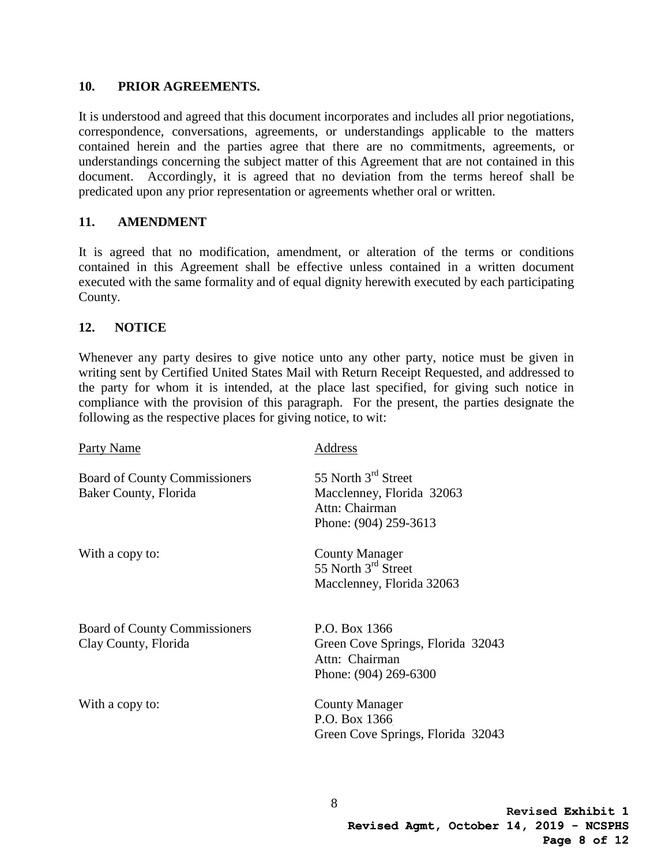#### **10. PRIOR AGREEMENTS.**

It is understood and agreed that this document incorporates and includes all prior negotiations, correspondence, conversations, agreements, or understandings applicable to the matters contained herein and the parties agree that there are no commitments, agreements, or understandings concerning the subject matter of this Agreement that are not contained in this document. Accordingly, it is agreed that no deviation from the terms hereof shall be predicated upon any prior representation or agreements whether oral or written.

#### **11. AMENDMENT**

It is agreed that no modification, amendment, or alteration of the terms or conditions contained in this Agreement shall be effective unless contained in a written document executed with the same formality and of equal dignity herewith executed by each participating County.

#### **12. NOTICE**

Whenever any party desires to give notice unto any other party, notice must be given in writing sent by Certified United States Mail with Return Receipt Requested, and addressed to the party for whom it is intended, at the place last specified, for giving such notice in compliance with the provision of this paragraph. For the present, the parties designate the following as the respective places for giving notice, to wit:

| Party Name                                                    | Address                                                                                                 |
|---------------------------------------------------------------|---------------------------------------------------------------------------------------------------------|
| <b>Board of County Commissioners</b><br>Baker County, Florida | 55 North 3 <sup>rd</sup> Street<br>Macclenney, Florida 32063<br>Attn: Chairman<br>Phone: (904) 259-3613 |
| With a copy to:                                               | <b>County Manager</b><br>55 North 3 <sup>rd</sup> Street<br>Macclenney, Florida 32063                   |
| <b>Board of County Commissioners</b><br>Clay County, Florida  | P.O. Box 1366<br>Green Cove Springs, Florida 32043<br>Attn: Chairman<br>Phone: (904) 269-6300           |
| With a copy to:                                               | <b>County Manager</b><br>P.O. Box 1366<br>Green Cove Springs, Florida 32043                             |

8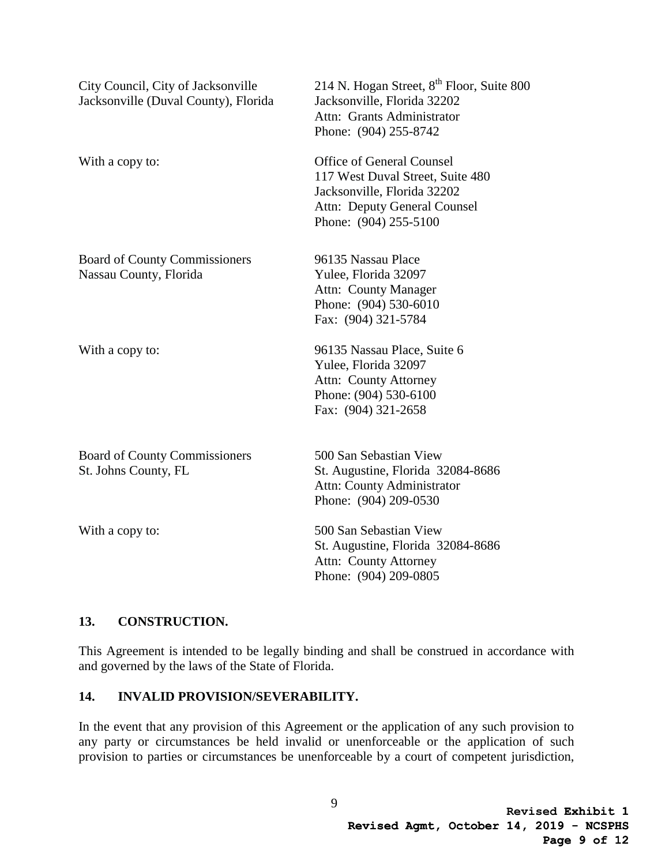| City Council, City of Jacksonville<br>Jacksonville (Duval County), Florida | 214 N. Hogan Street, 8 <sup>th</sup> Floor, Suite 800<br>Jacksonville, Florida 32202<br>Attn: Grants Administrator<br>Phone: (904) 255-8742                         |
|----------------------------------------------------------------------------|---------------------------------------------------------------------------------------------------------------------------------------------------------------------|
| With a copy to:                                                            | <b>Office of General Counsel</b><br>117 West Duval Street, Suite 480<br>Jacksonville, Florida 32202<br><b>Attn:</b> Deputy General Counsel<br>Phone: (904) 255-5100 |
| <b>Board of County Commissioners</b><br>Nassau County, Florida             | 96135 Nassau Place<br>Yulee, Florida 32097<br>Attn: County Manager<br>Phone: (904) 530-6010<br>Fax: (904) 321-5784                                                  |
| With a copy to:                                                            | 96135 Nassau Place, Suite 6<br>Yulee, Florida 32097<br><b>Attn: County Attorney</b><br>Phone: (904) 530-6100<br>Fax: (904) 321-2658                                 |
| <b>Board of County Commissioners</b><br>St. Johns County, FL               | 500 San Sebastian View<br>St. Augustine, Florida 32084-8686<br><b>Attn: County Administrator</b><br>Phone: (904) 209-0530                                           |
| With a copy to:                                                            | 500 San Sebastian View<br>St. Augustine, Florida 32084-8686<br><b>Attn: County Attorney</b><br>Phone: (904) 209-0805                                                |

### **13. CONSTRUCTION.**

This Agreement is intended to be legally binding and shall be construed in accordance with and governed by the laws of the State of Florida.

#### **14. INVALID PROVISION/SEVERABILITY.**

In the event that any provision of this Agreement or the application of any such provision to any party or circumstances be held invalid or unenforceable or the application of such provision to parties or circumstances be unenforceable by a court of competent jurisdiction,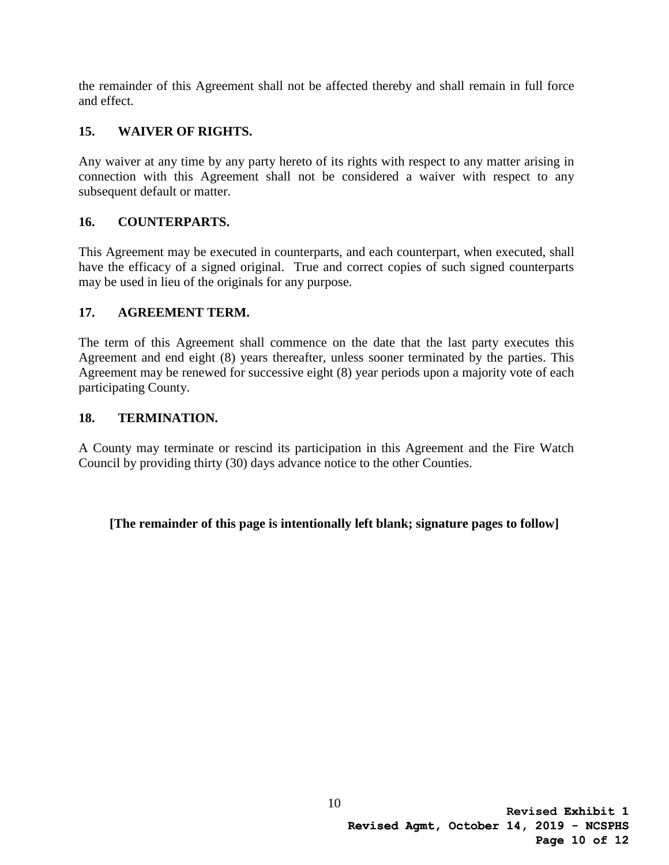the remainder of this Agreement shall not be affected thereby and shall remain in full force and effect.

## **15. WAIVER OF RIGHTS.**

 Any waiver at any time by any party hereto of its rights with respect to any matter arising in connection with this Agreement shall not be considered a waiver with respect to any subsequent default or matter.

## **16. COUNTERPARTS.**

This Agreement may be executed in counterparts, and each counterpart, when executed, shall have the efficacy of a signed original. True and correct copies of such signed counterparts may be used in lieu of the originals for any purpose.

### **17. AGREEMENT TERM.**

The term of this Agreement shall commence on the date that the last party executes this Agreement and end eight (8) years thereafter, unless sooner terminated by the parties. This Agreement may be renewed for successive eight (8) year periods upon a majority vote of each participating County.

### **18. TERMINATION.**

A County may terminate or rescind its participation in this Agreement and the Fire Watch Council by providing thirty (30) days advance notice to the other Counties.

### **[The remainder of this page is intentionally left blank; signature pages to follow]**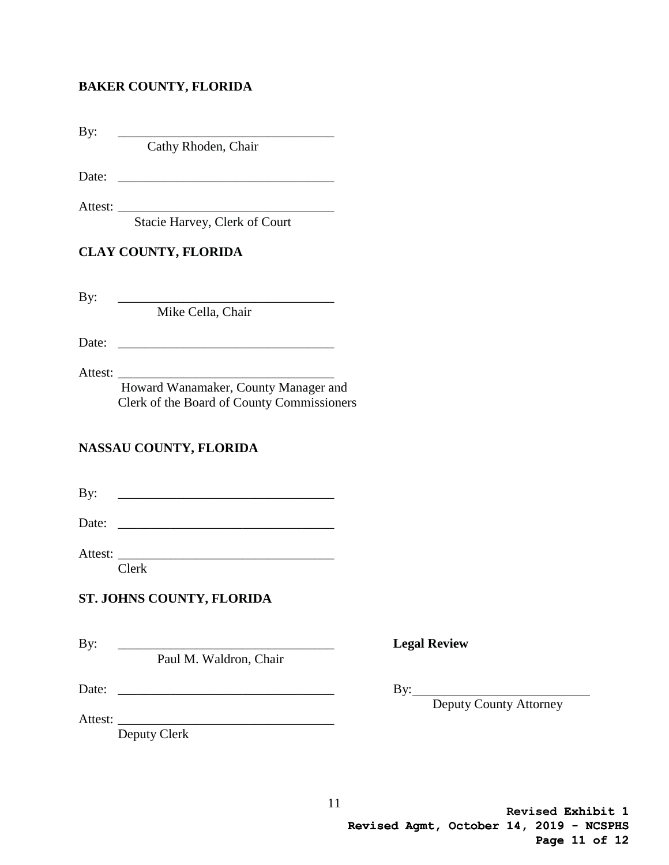#### **BAKER COUNTY, FLORIDA**

By: \_\_\_\_\_\_\_\_\_\_\_\_\_\_\_\_\_\_\_\_\_\_\_\_\_\_\_\_\_\_\_\_\_

Cathy Rhoden, Chair

Date: \_\_\_\_\_\_\_\_\_\_\_\_\_\_\_\_\_\_\_\_\_\_\_\_\_\_\_\_\_\_\_\_\_

Attest: \_\_\_\_\_\_\_\_\_\_\_\_\_\_\_\_\_\_\_\_\_\_\_\_\_\_\_\_\_\_\_\_\_

Stacie Harvey, Clerk of Court

## **CLAY COUNTY, FLORIDA**

 $\mathbf{By:}$ 

Mike Cella, Chair

Date:

Attest: \_\_\_\_\_\_\_\_\_\_\_\_\_\_\_\_\_\_\_\_\_\_\_\_\_\_\_\_\_\_\_\_\_

Howard Wanamaker, County Manager and Clerk of the Board of County Commissioners

# **NASSAU COUNTY, FLORIDA**

 $\mathbf{B} \mathbf{v}$ :

Date:

Attest: \_\_\_\_\_\_\_\_\_\_\_\_\_\_\_\_\_\_\_\_\_\_\_\_\_\_\_\_\_\_\_\_\_

Clerk

### **ST. JOHNS COUNTY, FLORIDA**

Paul M. Waldron, Chair

Date: \_\_\_\_\_\_\_\_\_\_\_\_\_\_\_\_\_\_\_\_\_\_\_\_\_\_\_\_\_\_\_\_\_ By:

By: \_\_\_\_\_\_\_\_\_\_\_\_\_\_\_\_\_\_\_\_\_\_\_\_\_\_\_\_\_\_\_\_\_ **Legal Review** 

Deputy County Attorney

Attest: \_\_\_\_\_\_\_\_\_\_\_\_\_\_\_\_\_\_\_\_\_\_\_\_\_\_\_\_\_\_\_\_\_ Deputy Clerk

> **Exhibit 1 Revised Revised Agmt, October 14, 2019 - NCSPHS Page 11 of 12**